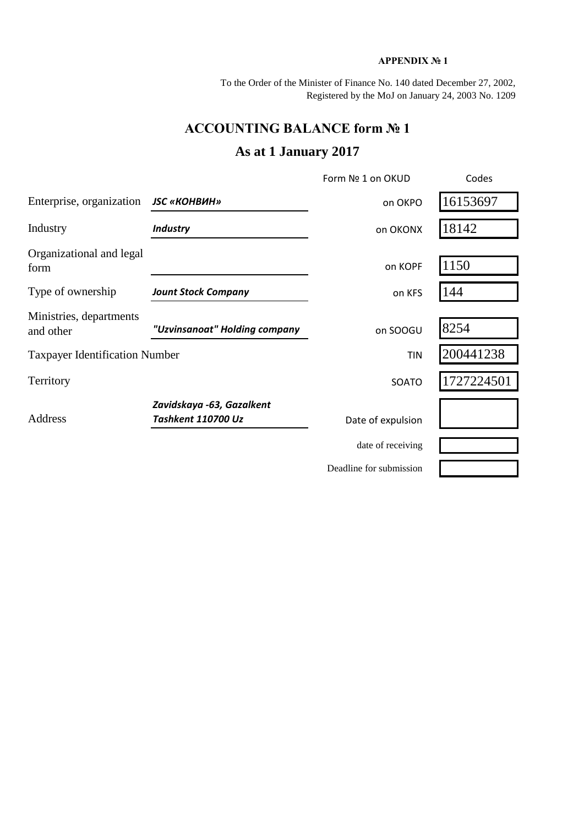## **APPENDIX № 1**

To the Order of the Minister of Finance No. 140 dated December 27, 2002, Registered by the MoJ on January 24, 2003 No. 1209

## **ACCOUNTING BALANCE form № 1**

## **As at 1 January 2017**

|                                       |                                                        | Form Nº 1 on OKUD       | Codes      |
|---------------------------------------|--------------------------------------------------------|-------------------------|------------|
| Enterprise, organization              | <b>JSC «КОНВИН»</b>                                    | on OKPO                 | 16153697   |
| Industry                              | <b>Industry</b>                                        | on OKONX                | 18142      |
| Organizational and legal<br>form      |                                                        | on KOPF                 | 1150       |
| Type of ownership                     | <b>Jount Stock Company</b>                             | on KFS                  | 144        |
| Ministries, departments<br>and other  | "Uzvinsanoat" Holding company                          | on SOOGU                | 8254       |
| <b>Taxpayer Identification Number</b> |                                                        | <b>TIN</b>              | 200441238  |
| Territory                             |                                                        | SOATO                   | 1727224501 |
| Address                               | Zavidskaya -63, Gazalkent<br><b>Tashkent 110700 Uz</b> | Date of expulsion       |            |
|                                       |                                                        | date of receiving       |            |
|                                       |                                                        | Deadline for submission |            |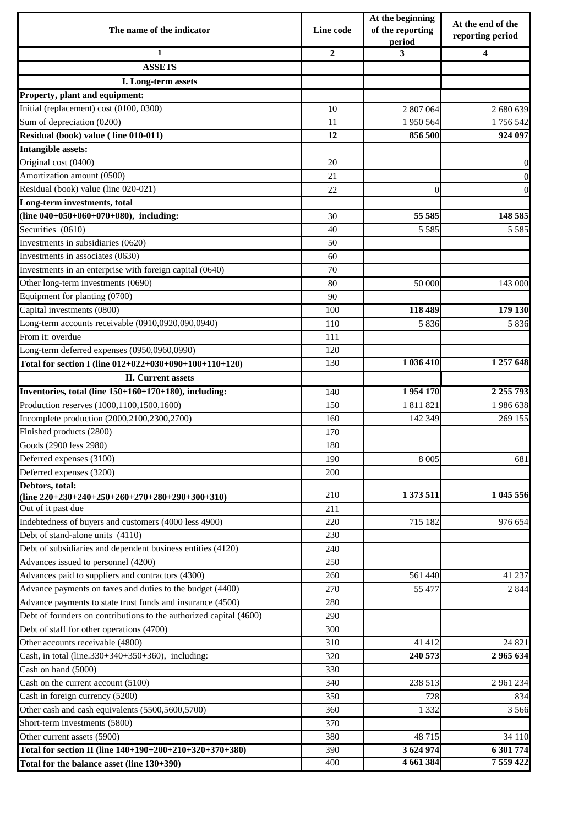| The name of the indicator                                          | Line code      | At the beginning<br>of the reporting<br>period | At the end of the<br>reporting period |  |
|--------------------------------------------------------------------|----------------|------------------------------------------------|---------------------------------------|--|
| $\mathbf{1}$                                                       | $\overline{2}$ | 3                                              | 4                                     |  |
| <b>ASSETS</b>                                                      |                |                                                |                                       |  |
| I. Long-term assets                                                |                |                                                |                                       |  |
| Property, plant and equipment:                                     |                |                                                |                                       |  |
| Initial (replacement) cost (0100, 0300)                            | 10             | 2 807 064                                      | 2 680 639                             |  |
| Sum of depreciation (0200)                                         | 11             | 1 950 564                                      | 1756542                               |  |
| Residual (book) value (line 010-011)                               | 12             | 856 500                                        | 924 097                               |  |
| <b>Intangible assets:</b>                                          |                |                                                |                                       |  |
| Original cost (0400)                                               | 20             |                                                | $\mathbf{0}$                          |  |
| Amortization amount (0500)                                         | 21             |                                                | $\boldsymbol{0}$                      |  |
| Residual (book) value (line 020-021)                               | 22             | $\overline{0}$                                 | $\overline{0}$                        |  |
| Long-term investments, total                                       |                |                                                |                                       |  |
| (line $040+050+060+070+080$ ), including:                          | 30             | 55 585                                         | 148 585                               |  |
| Securities (0610)                                                  | 40             | 5 5 8 5                                        | 5 5 8 5                               |  |
| Investments in subsidiaries (0620)                                 | 50             |                                                |                                       |  |
| Investments in associates (0630)                                   | 60             |                                                |                                       |  |
| Investments in an enterprise with foreign capital (0640)           | 70             |                                                |                                       |  |
| Other long-term investments (0690)                                 | 80             | 50 000                                         | 143 000                               |  |
| Equipment for planting (0700)                                      | 90             |                                                |                                       |  |
| Capital investments (0800)                                         | 100            | 118 489                                        | 179 130                               |  |
| Long-term accounts receivable (0910,0920,090,0940)                 | 110            | 5 8 3 6                                        | 5836                                  |  |
| From it: overdue                                                   | 111            |                                                |                                       |  |
| Long-term deferred expenses (0950,0960,0990)                       | 120            |                                                |                                       |  |
| Total for section I (line 012+022+030+090+100+110+120)             | 130            | 1 036 410                                      | 1 257 648                             |  |
| <b>II.</b> Current assets                                          |                |                                                |                                       |  |
| Inventories, total (line 150+160+170+180), including:              | 140            | 1954170                                        | 2 255 793                             |  |
| Production reserves (1000,1100,1500,1600)                          | 150            | 1 811 821                                      | 1986 638                              |  |
| Incomplete production (2000,2100,2300,2700)                        | 160            | 142 349                                        | 269 155                               |  |
| Finished products (2800)                                           | 170            |                                                |                                       |  |
| Goods (2900 less 2980)                                             | 180            |                                                |                                       |  |
| Deferred expenses (3100)                                           | 190            | 8 0 0 5                                        | 681                                   |  |
| Deferred expenses (3200)                                           | 200            |                                                |                                       |  |
| Debtors, total:                                                    |                |                                                |                                       |  |
| (line $220+230+240+250+260+270+280+290+300+310$ )                  | 210            | 1 373 511                                      | 1 045 556                             |  |
| Out of it past due                                                 | 211            |                                                |                                       |  |
| Indebtedness of buyers and customers (4000 less 4900)              | 220            | 715 182                                        | 976 654                               |  |
| Debt of stand-alone units (4110)                                   | 230            |                                                |                                       |  |
| Debt of subsidiaries and dependent business entities (4120)        | 240            |                                                |                                       |  |
| Advances issued to personnel (4200)                                | 250            |                                                |                                       |  |
| Advances paid to suppliers and contractors (4300)                  | 260            | 561 440                                        | 41 237                                |  |
| Advance payments on taxes and duties to the budget (4400)          | 270            | 55 477                                         | 2 8 4 4                               |  |
| Advance payments to state trust funds and insurance (4500)         | 280            |                                                |                                       |  |
| Debt of founders on contributions to the authorized capital (4600) | 290            |                                                |                                       |  |
| Debt of staff for other operations (4700)                          | 300            |                                                |                                       |  |
| Other accounts receivable (4800)                                   | 310            | 41 412                                         | 24 821                                |  |
| Cash, in total (line.330+340+350+360), including:                  | 320            | 240 573                                        | 2 965 634                             |  |
| Cash on hand (5000)                                                | 330            |                                                |                                       |  |
| Cash on the current account (5100)                                 | 340            | 238 513                                        | 2 961 234                             |  |
| Cash in foreign currency (5200)                                    | 350            | 728                                            | 834                                   |  |
| Other cash and cash equivalents (5500,5600,5700)                   | 360            | 1 3 3 2                                        | 3566                                  |  |
| Short-term investments (5800)                                      | 370            |                                                |                                       |  |
| Other current assets (5900)                                        | 380            | 48 715                                         | 34 110                                |  |
| Total for section II (line 140+190+200+210+320+370+380)            | 390            | 3 624 974                                      | 6 301 774                             |  |
| Total for the balance asset (line 130+390)                         | 400            | 4 661 384                                      | 7 559 422                             |  |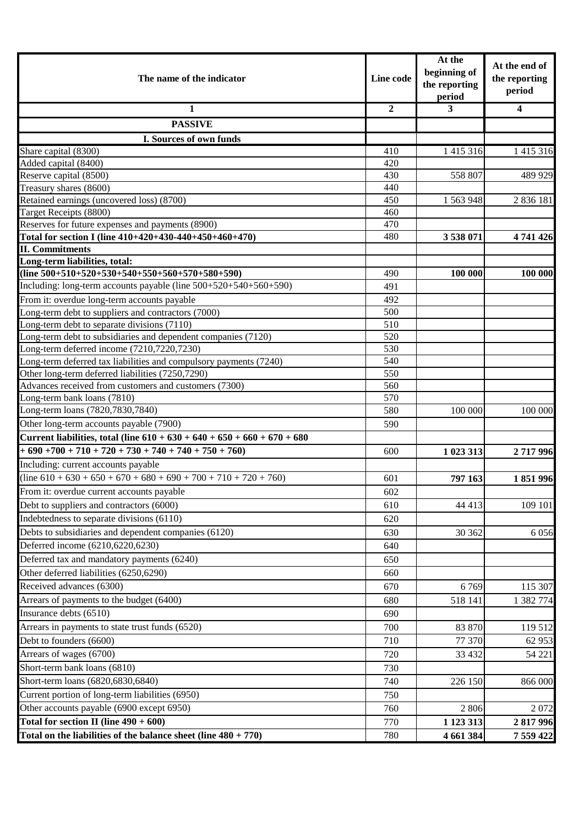| The name of the indicator                                                  |                | At the<br>beginning of<br>the reporting<br>period | At the end of<br>the reporting<br>period |
|----------------------------------------------------------------------------|----------------|---------------------------------------------------|------------------------------------------|
| 1                                                                          | $\overline{2}$ | 3                                                 | $\overline{\mathbf{4}}$                  |
| <b>PASSIVE</b>                                                             |                |                                                   |                                          |
| I. Sources of own funds                                                    |                |                                                   |                                          |
| Share capital (8300)                                                       | 410            | 1 4 1 5 3 1 6                                     | 1 415 316                                |
| Added capital (8400)                                                       | 420            |                                                   |                                          |
| Reserve capital (8500)                                                     | 430            | 558 807                                           | 489 929                                  |
| Treasury shares (8600)                                                     | 440            |                                                   |                                          |
| Retained earnings (uncovered loss) (8700)                                  | 450            | 1 563 948                                         | 2 8 3 6 1 8 1                            |
| Target Receipts (8800)                                                     | 460            |                                                   |                                          |
| Reserves for future expenses and payments (8900)                           | 470            |                                                   |                                          |
| Total for section I (line 410+420+430-440+450+460+470)                     | 480            | 3538071                                           | 4741426                                  |
| <b>II. Commitments</b>                                                     |                |                                                   |                                          |
| Long-term liabilities, total:                                              |                |                                                   |                                          |
| (line $500+510+520+530+540+550+560+570+580+590$ )                          | 490            | 100 000                                           | 100 000                                  |
| Including: long-term accounts payable (line 500+520+540+560+590)           | 491            |                                                   |                                          |
| From it: overdue long-term accounts payable                                | 492            |                                                   |                                          |
| Long-term debt to suppliers and contractors (7000)                         | 500            |                                                   |                                          |
| Long-term debt to separate divisions (7110)                                | 510            |                                                   |                                          |
| Long-term debt to subsidiaries and dependent companies (7120)              | 520            |                                                   |                                          |
| Long-term deferred income (7210,7220,7230)                                 | 530            |                                                   |                                          |
| Long-term deferred tax liabilities and compulsory payments (7240)          | 540            |                                                   |                                          |
| Other long-term deferred liabilities (7250,7290)                           | 550            |                                                   |                                          |
| Advances received from customers and customers (7300)                      | 560            |                                                   |                                          |
| Long-term bank loans (7810)                                                | 570            |                                                   |                                          |
| Long-term loans (7820,7830,7840)                                           | 580            | 100 000                                           | 100 000                                  |
| Other long-term accounts payable (7900)                                    | 590            |                                                   |                                          |
| Current liabilities, total (line $610 + 630 + 640 + 650 + 660 + 670 + 680$ |                |                                                   |                                          |
| $+690+700+710+720+730+740+740+750+760$                                     | 600            | 1 023 313                                         | 2717996                                  |
| Including: current accounts payable                                        |                |                                                   |                                          |
| $(line 610 + 630 + 650 + 670 + 680 + 690 + 700 + 710 + 720 + 760)$         | 601            | 797 163                                           | 1851996                                  |
| From it: overdue current accounts payable                                  | 602            |                                                   |                                          |
| Debt to suppliers and contractors (6000)                                   | 610            | 44 413                                            | 109 101                                  |
| Indebtedness to separate divisions (6110)                                  | 620            |                                                   |                                          |
| Debts to subsidiaries and dependent companies (6120)                       | 630            | 30 362                                            | 6056                                     |
| Deferred income (6210,6220,6230)                                           | 640            |                                                   |                                          |
| Deferred tax and mandatory payments (6240)                                 | 650            |                                                   |                                          |
| Other deferred liabilities (6250,6290)                                     | 660            |                                                   |                                          |
| Received advances (6300)                                                   | 670            | 6769                                              | 115 307                                  |
| Arrears of payments to the budget (6400)                                   | 680            | 518 141                                           | 1 382 774                                |
| Insurance debts (6510)                                                     | 690            |                                                   |                                          |
| Arrears in payments to state trust funds (6520)                            | 700            | 83 870                                            |                                          |
|                                                                            |                |                                                   | 119 512                                  |
| Debt to founders (6600)                                                    | 710            | 77 370                                            | 62 953                                   |
| Arrears of wages (6700)                                                    | 720            | 33 4 32                                           | 54 221                                   |
| Short-term bank loans (6810)                                               | 730            |                                                   |                                          |
| Short-term loans (6820,6830,6840)                                          | 740            | 226 150                                           | 866 000                                  |
| Current portion of long-term liabilities (6950)                            | 750            |                                                   |                                          |
| Other accounts payable (6900 except 6950)                                  | 760            | 2806                                              | 2072                                     |
| Total for section II (line $490 + 600$ )                                   | 770            | 1 123 313                                         | 2817996                                  |
| Total on the liabilities of the balance sheet (line $480 + 770$ )          | 780            | 4 661 384                                         | 7 559 422                                |